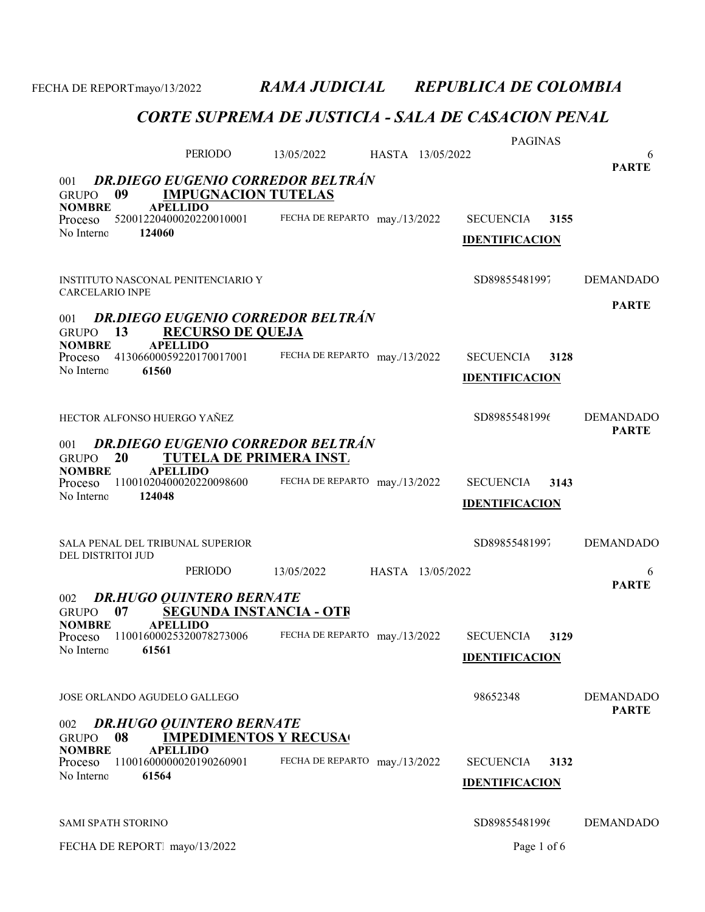PAGINAS PERIODO 13/05/2022 6 HASTA 13/05/2022 GRUPO 09 **IMPUGNACION TUTELAS**<br>NOMBRE APELLIDO **APELLIDO** PARTE 001 DR.DIEGO EUGENIO CORREDOR BELTRÁN Proceso 52001220400020220010001 FECHA DE REPARTO may./13/2022 SECUENCIA 3155 124060 FECHA DE REPARTO may./13/2022 No Interno: IDENTIFICACION INSTITUTO NASCONAL PENITENCIARIO Y SD89855481997 DEMANDADO CARCELARIO INPE GRUPO 13 RECURSO DE QUEJA **APELLIDO** PARTE 001 DR.DIEGO EUGENIO CORREDOR BELTRÁN Proceso 41306600059220170017001 FECHA DE REPARTO may./13/2022 SECUENCIA 3128 61560 No Interno: Proceso 41306600059220170017001 IDENTIFICACION HECTOR ALFONSO HUERGO YAÑEZ SD89855481996 DEMANDADO GRUPO 20 TUTELA DE PRIMERA INST.<br>NOMBRE APELLIDO **APELLIDO** PARTE 001 DR.DIEGO EUGENIO CORREDOR BELTRÁN Proceso 11001020400020220098600 FECHA DE REPARTO may./13/2022 SECUENCIA 3143 124048 FECHA DE REPARTO may./13/2022 No Interno: IDENTIFICACION SALA PENAL DEL TRIBUNAL SUPERIOR SOBIETA EN SENSISSES SOBIETAS SOBIETAS SOBIETAS DEMANDADO DEL DISTRITOI JUD PERIODO 13/05/2022 6 HASTA 13/05/2022 GRUPO 07 SEGUNDA INSTANCIA - OTR<br>NOMBRE APELLIDO **APELLIDO** PARTE 002 DR.HUGO QUINTERO BERNATE Proceso 11001600025320078273006 FECHA DE REPARTO may./13/2022 SECUENCIA 3129 61561 No Interno: Proceso 11001600025320078273006 IDENTIFICACION JOSE ORLANDO AGUDELO GALLEGO 98652348 DEMANDADO GRUPO 08 IMPEDIMENTOS Y RECUSA NOMBRE APELLIDO PARTE 002 DR.HUGO QUINTERO BERNATE Proceso 11001600000020190260901 FECHA DE REPARTO may./13/2022 SECUENCIA 3132 61564 No Interno: Proceso 11001600000020190260901 **IDENTIFICACION** SAMI SPATH STORINO SOBS9855481996 DEMANDADO FECHA DE REPORT. mayo/13/2022 Page 1 of 6

FECHA DE REPORTmayo/13/2022 RAMA JUDICIAL REPUBLICA DE COLOMBIA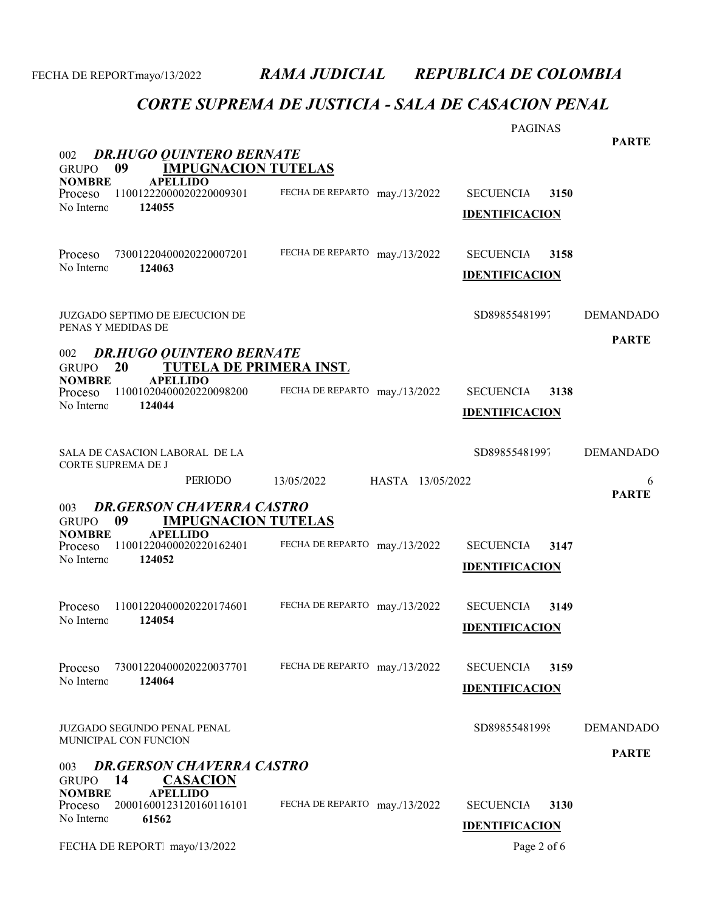|                                                                                      |                                | <b>PAGINAS</b>           |                  |
|--------------------------------------------------------------------------------------|--------------------------------|--------------------------|------------------|
| <b>DR.HUGO QUINTERO BERNATE</b><br>002                                               |                                |                          | <b>PARTE</b>     |
| 09<br><b>IMPUGNACION TUTELAS</b><br><b>GRUPO</b><br><b>NOMBRE</b><br><b>APELLIDO</b> |                                |                          |                  |
| 11001222000020220009301<br>Proceso                                                   | FECHA DE REPARTO may./13/2022  | <b>SECUENCIA</b><br>3150 |                  |
| No Interno<br>124055                                                                 |                                | <b>IDENTIFICACION</b>    |                  |
|                                                                                      |                                |                          |                  |
| 73001220400020220007201<br>Proceso<br>No Interno<br>124063                           | FECHA DE REPARTO may./13/2022  | <b>SECUENCIA</b><br>3158 |                  |
|                                                                                      |                                | <b>IDENTIFICACION</b>    |                  |
|                                                                                      |                                |                          |                  |
| <b>JUZGADO SEPTIMO DE EJECUCION DE</b><br>PENAS Y MEDIDAS DE                         |                                | SD89855481997            | <b>DEMANDADO</b> |
| <b>DR.HUGO QUINTERO BERNATE</b><br>002                                               |                                |                          | <b>PARTE</b>     |
| <b>TUTELA DE PRIMERA INST.</b><br><b>GRUPO</b><br>20                                 |                                |                          |                  |
| <b>NOMBRE</b><br><b>APELLIDO</b><br>11001020400020220098200<br>Proceso               | FECHA DE REPARTO may./13/2022  | <b>SECUENCIA</b><br>3138 |                  |
| No Interno<br>124044                                                                 |                                | <b>IDENTIFICACION</b>    |                  |
|                                                                                      |                                |                          |                  |
| SALA DE CASACION LABORAL DE LA<br>CORTE SUPREMA DE J                                 |                                | SD89855481997            | <b>DEMANDADO</b> |
| PERIODO                                                                              | 13/05/2022<br>HASTA 13/05/2022 |                          | 6                |
| <b>DR.GERSON CHAVERRA CASTRO</b><br>003                                              |                                |                          | <b>PARTE</b>     |
| <b>IMPUGNACION TUTELAS</b><br>09<br><b>GRUPO</b>                                     |                                |                          |                  |
| <b>APELLIDO</b><br><b>NOMBRE</b><br>11001220400020220162401<br>Proceso               | FECHA DE REPARTO may./13/2022  | <b>SECUENCIA</b><br>3147 |                  |
| No Interno<br>124052                                                                 |                                | <b>IDENTIFICACION</b>    |                  |
|                                                                                      |                                |                          |                  |
| 11001220400020220174601<br>Proceso                                                   | FECHA DE REPARTO may./13/2022  | <b>SECUENCIA</b><br>3149 |                  |
| No Interno<br>124054                                                                 |                                | <b>IDENTIFICACION</b>    |                  |
|                                                                                      |                                |                          |                  |
| 73001220400020220037701<br>Proceso<br>No Interno<br>124064                           | FECHA DE REPARTO may./13/2022  | <b>SECUENCIA</b><br>3159 |                  |
|                                                                                      |                                | <b>IDENTIFICACION</b>    |                  |
| JUZGADO SEGUNDO PENAL PENAL                                                          |                                | SD89855481998            | <b>DEMANDADO</b> |
| MUNICIPAL CON FUNCION                                                                |                                |                          |                  |
| <b>DR.GERSON CHAVERRA CASTRO</b><br>003                                              |                                |                          | <b>PARTE</b>     |
| 14<br><b>CASACION</b><br><b>GRUPO</b><br><b>NOMBRE</b><br><b>APELLIDO</b>            |                                |                          |                  |
| 20001600123120160116101<br>Proceso<br>61562<br>No Interno                            | FECHA DE REPARTO may./13/2022  | <b>SECUENCIA</b><br>3130 |                  |
|                                                                                      |                                | <b>IDENTIFICACION</b>    |                  |
| FECHA DE REPORT mayo/13/2022                                                         |                                | Page 2 of 6              |                  |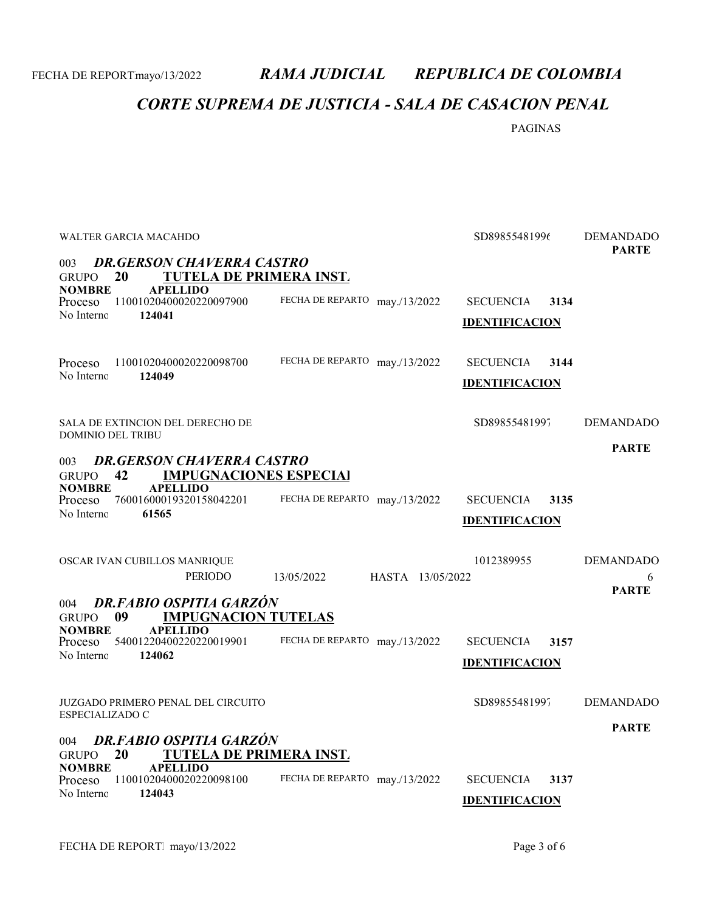### CORTE SUPREMA DE JUSTICIA - SALA DE CASACION PENAL

PAGINAS

| WALTER GARCIA MACAHDO<br><b>DR.GERSON CHAVERRA CASTRO</b><br>003                          | SD89855481996                  | <b>DEMANDADO</b><br><b>PARTE</b> |                  |
|-------------------------------------------------------------------------------------------|--------------------------------|----------------------------------|------------------|
| <b>TUTELA DE PRIMERA INST.</b><br>20<br><b>GRUPO</b>                                      |                                |                                  |                  |
| <b>NOMBRE</b><br><b>APELLIDO</b>                                                          |                                |                                  |                  |
| 11001020400020220097900<br>Proceso<br>No Interno<br>124041                                | FECHA DE REPARTO may./13/2022  | <b>SECUENCIA</b><br>3134         |                  |
|                                                                                           |                                | <b>IDENTIFICACION</b>            |                  |
| 11001020400020220098700<br>Proceso                                                        | FECHA DE REPARTO may./13/2022  | <b>SECUENCIA</b><br>3144         |                  |
| 124049<br>No Interno                                                                      |                                | <b>IDENTIFICACION</b>            |                  |
| SALA DE EXTINCION DEL DERECHO DE                                                          |                                | SD89855481997                    | <b>DEMANDADO</b> |
| <b>DOMINIO DEL TRIBU</b>                                                                  |                                |                                  |                  |
| <b>DR.GERSON CHAVERRA CASTRO</b><br>003                                                   |                                |                                  | <b>PARTE</b>     |
| 42<br><b>IMPUGNACIONES ESPECIAL</b><br><b>GRUPO</b>                                       |                                |                                  |                  |
| <b>APELLIDO</b><br><b>NOMBRE</b><br>76001600019320158042201<br>Proceso                    | FECHA DE REPARTO may./13/2022  | <b>SECUENCIA</b><br>3135         |                  |
| No Interno<br>61565                                                                       |                                |                                  |                  |
|                                                                                           |                                | <b>IDENTIFICACION</b>            |                  |
| OSCAR IVAN CUBILLOS MANRIQUE                                                              |                                | 1012389955                       | <b>DEMANDADO</b> |
| PERIODO                                                                                   | 13/05/2022<br>HASTA 13/05/2022 |                                  | 6                |
|                                                                                           |                                |                                  | <b>PARTE</b>     |
| <b>DR.FABIO OSPITIA GARZÓN</b><br>004<br>09<br><b>IMPUGNACION TUTELAS</b><br><b>GRUPO</b> |                                |                                  |                  |
| <b>APELLIDO</b><br><b>NOMBRE</b>                                                          |                                |                                  |                  |
| 54001220400220220019901<br>Proceso                                                        | FECHA DE REPARTO may./13/2022  | <b>SECUENCIA</b><br>3157         |                  |
| No Interno<br>124062                                                                      |                                | <b>IDENTIFICACION</b>            |                  |
|                                                                                           |                                |                                  |                  |
| JUZGADO PRIMERO PENAL DEL CIRCUITO<br>ESPECIALIZADO C                                     |                                | SD89855481997                    | <b>DEMANDADO</b> |
|                                                                                           |                                |                                  | <b>PARTE</b>     |
| DR.FABIO OSPITIA GARZÓN<br>004<br>20<br><b>TUTELA DE PRIMERA INST.</b><br><b>GRUPO</b>    |                                |                                  |                  |
| <b>APELLIDO</b><br>NOMBRE<br>11001020400020220098100<br>Proceso                           | FECHA DE REPARTO may./13/2022  | <b>SECUENCIA</b><br>3137         |                  |
| No Interno<br>124043                                                                      |                                |                                  |                  |
|                                                                                           |                                | <b>IDENTIFICACION</b>            |                  |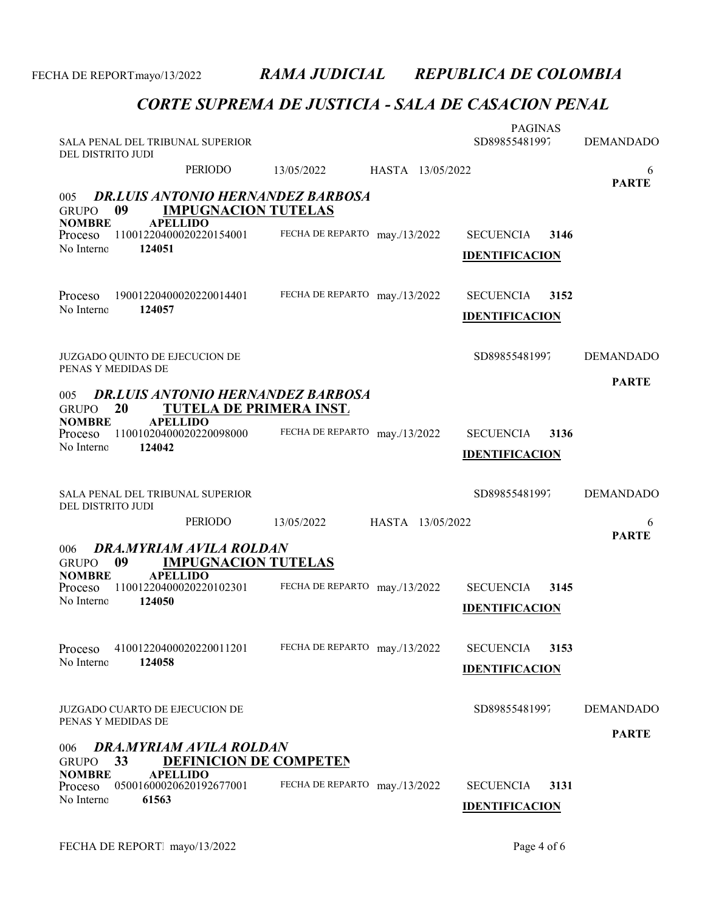| SALA PENAL DEL TRIBUNAL SUPERIOR<br>DEL DISTRITO JUDI |                                                   |                                          |                  | <b>PAGINAS</b><br>SD89855481997           |      | <b>DEMANDADO</b>  |
|-------------------------------------------------------|---------------------------------------------------|------------------------------------------|------------------|-------------------------------------------|------|-------------------|
|                                                       | PERIODO                                           | 13/05/2022                               | HASTA 13/05/2022 |                                           |      | 6<br><b>PARTE</b> |
| 005<br>09<br><b>GRUPO</b>                             | <b>IMPUGNACION TUTELAS</b>                        | <b>DR.LUIS ANTONIO HERNANDEZ BARBOSA</b> |                  |                                           |      |                   |
| <b>NOMBRE</b><br>Proceso<br>No Interno<br>124051      | <b>APELLIDO</b><br>11001220400020220154001        | FECHA DE REPARTO may./13/2022            |                  | <b>SECUENCIA</b><br><b>IDENTIFICACION</b> | 3146 |                   |
|                                                       |                                                   |                                          |                  |                                           |      |                   |
| Proceso<br>No Interno<br>124057                       | 19001220400020220014401                           | FECHA DE REPARTO may./13/2022            |                  | <b>SECUENCIA</b>                          | 3152 |                   |
|                                                       |                                                   |                                          |                  | <b>IDENTIFICACION</b>                     |      |                   |
| JUZGADO QUINTO DE EJECUCION DE<br>PENAS Y MEDIDAS DE  |                                                   |                                          |                  | SD89855481997                             |      | <b>DEMANDADO</b>  |
| 005                                                   |                                                   | <b>DR.LUIS ANTONIO HERNANDEZ BARBOSA</b> |                  |                                           |      | <b>PARTE</b>      |
| 20<br><b>GRUPO</b><br><b>NOMBRE</b>                   | <b>TUTELA DE PRIMERA INST.</b><br><b>APELLIDO</b> |                                          |                  |                                           |      |                   |
| Proceso<br>No Interno<br>124042                       | 11001020400020220098000                           | FECHA DE REPARTO may./13/2022            |                  | <b>SECUENCIA</b><br><b>IDENTIFICACION</b> | 3136 |                   |
|                                                       |                                                   |                                          |                  |                                           |      |                   |
| SALA PENAL DEL TRIBUNAL SUPERIOR                      |                                                   |                                          |                  | SD89855481997                             |      | <b>DEMANDADO</b>  |
| DEL DISTRITO JUDI                                     | <b>PERIODO</b>                                    | 13/05/2022                               | HASTA 13/05/2022 |                                           |      | 6                 |
| 006                                                   | DRA.MYRIAM AVILA ROLDAN                           |                                          |                  |                                           |      | <b>PARTE</b>      |
| 09<br><b>GRUPO</b><br><b>NOMBRE</b>                   | <b>IMPUGNACION TUTELAS</b><br><b>APELLIDO</b>     |                                          |                  |                                           |      |                   |
| Proceso<br>No Interno<br>124050                       | 11001220400020220102301                           | FECHA DE REPARTO may./13/2022            |                  | <b>SECUENCIA</b><br><b>IDENTIFICACION</b> | 3145 |                   |
| Proceso                                               | 41001220400020220011201                           | FECHA DE REPARTO may./13/2022            |                  | <b>SECUENCIA</b>                          | 3153 |                   |
| No Interno<br>124058                                  |                                                   |                                          |                  | <b>IDENTIFICACION</b>                     |      |                   |
| <b>JUZGADO CUARTO DE EJECUCION DE</b>                 |                                                   |                                          |                  | SD89855481997                             |      | <b>DEMANDADO</b>  |
| PENAS Y MEDIDAS DE<br>006                             | DRA.MYRIAM AVILA ROLDAN                           |                                          |                  |                                           |      | <b>PARTE</b>      |
| 33<br><b>GRUPO</b><br><b>NOMBRE</b>                   | <b>DEFINICION DE COMPETEN</b><br><b>APELLIDO</b>  |                                          |                  |                                           |      |                   |
| Proceso<br>No Interno<br>61563                        | 05001600020620192677001                           | FECHA DE REPARTO may./13/2022            |                  | <b>SECUENCIA</b><br><b>IDENTIFICACION</b> | 3131 |                   |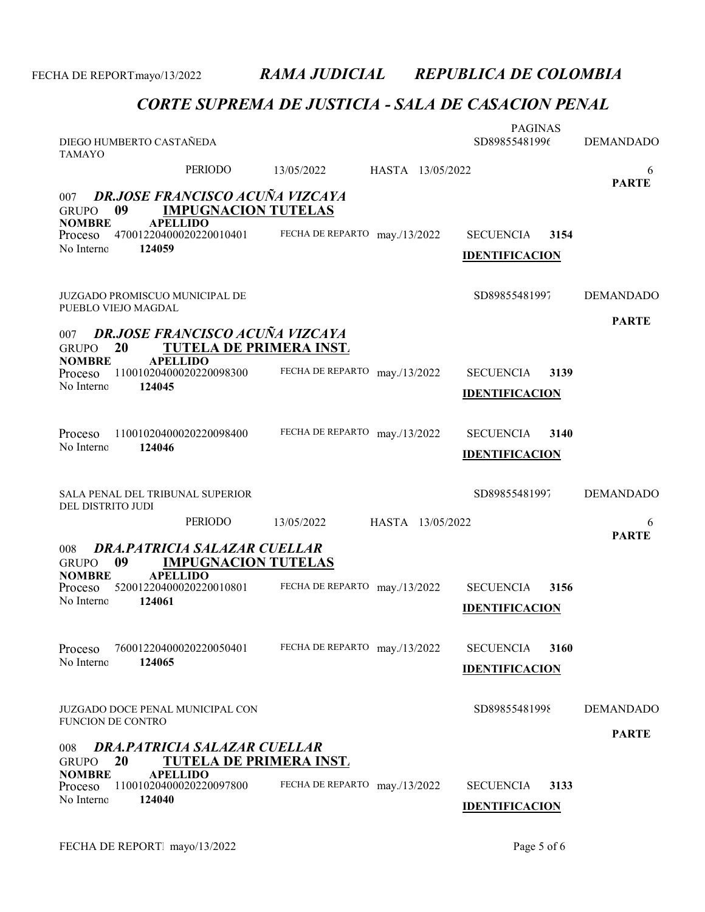| <b>TAMAYO</b>                   | DIEGO HUMBERTO CASTAÑEDA |                                                                          |                               |                  | <b>PAGINAS</b><br>SD89855481996           |      | <b>DEMANDADO</b> |
|---------------------------------|--------------------------|--------------------------------------------------------------------------|-------------------------------|------------------|-------------------------------------------|------|------------------|
|                                 |                          | PERIODO                                                                  | 13/05/2022                    | HASTA 13/05/2022 |                                           |      | 6                |
| 007<br><b>GRUPO</b>             | 09                       | <b>DR.JOSE FRANCISCO ACUÑA VIZCAYA</b><br><b>IMPUGNACION TUTELAS</b>     |                               |                  |                                           |      | <b>PARTE</b>     |
| <b>NOMBRE</b><br><b>Proceso</b> |                          | <b>APELLIDO</b><br>47001220400020220010401                               | FECHA DE REPARTO may./13/2022 |                  | <b>SECUENCIA</b>                          | 3154 |                  |
| No Interno                      | 124059                   |                                                                          |                               |                  | <b>IDENTIFICACION</b>                     |      |                  |
|                                 | PUEBLO VIEJO MAGDAL      | JUZGADO PROMISCUO MUNICIPAL DE                                           |                               |                  | SD89855481997                             |      | <b>DEMANDADO</b> |
| 007<br><b>GRUPO</b>             | 20                       | <b>DR.JOSE FRANCISCO ACUÑA VIZCAYA</b><br><b>TUTELA DE PRIMERA INST.</b> |                               |                  |                                           |      | <b>PARTE</b>     |
| <b>NOMBRE</b><br>Proceso        |                          | <b>APELLIDO</b><br>11001020400020220098300                               | FECHA DE REPARTO may./13/2022 |                  | <b>SECUENCIA</b>                          | 3139 |                  |
| No Interno                      | 124045                   |                                                                          |                               |                  | <b>IDENTIFICACION</b>                     |      |                  |
|                                 |                          |                                                                          |                               |                  |                                           |      |                  |
| Proceso<br>No Interno           | 124046                   | 11001020400020220098400                                                  | FECHA DE REPARTO may./13/2022 |                  | <b>SECUENCIA</b><br><b>IDENTIFICACION</b> | 3140 |                  |
|                                 |                          |                                                                          |                               |                  |                                           |      |                  |
|                                 |                          |                                                                          |                               |                  |                                           |      |                  |
| DEL DISTRITO JUDI               |                          | SALA PENAL DEL TRIBUNAL SUPERIOR                                         |                               |                  | SD89855481997                             |      | <b>DEMANDADO</b> |
|                                 |                          | <b>PERIODO</b>                                                           | 13/05/2022                    | HASTA 13/05/2022 |                                           |      | 6                |
| 008<br><b>GRUPO</b>             | 09                       | <b>DRA, PATRICIA SALAZAR CUELLAR</b><br><b>IMPUGNACION TUTELAS</b>       |                               |                  |                                           |      | <b>PARTE</b>     |
| <b>NOMBRE</b><br>Proceso        |                          | <b>APELLIDO</b><br>52001220400020220010801                               | FECHA DE REPARTO may./13/2022 |                  | <b>SECUENCIA</b>                          | 3156 |                  |
| No Interno                      | 124061                   |                                                                          |                               |                  | <b>IDENTIFICACION</b>                     |      |                  |
| Proceso                         |                          | 76001220400020220050401                                                  | FECHA DE REPARTO may./13/2022 |                  | <b>SECUENCIA</b>                          | 3160 |                  |
| No Interno                      | 124065                   |                                                                          |                               |                  | <b>IDENTIFICACION</b>                     |      |                  |
| <b>FUNCION DE CONTRO</b>        |                          | <b>JUZGADO DOCE PENAL MUNICIPAL CON</b>                                  |                               |                  | SD89855481998                             |      | <b>DEMANDADO</b> |
| 008                             |                          | DRA.PATRICIA SALAZAR CUELLAR                                             |                               |                  |                                           |      | <b>PARTE</b>     |
| <b>GRUPO</b><br><b>NOMBRE</b>   | 20                       | <b>TUTELA DE PRIMERA INST.</b><br><b>APELLIDO</b>                        |                               |                  |                                           |      |                  |
| Proceso<br>No Interno           | 124040                   | 11001020400020220097800                                                  | FECHA DE REPARTO may./13/2022 |                  | <b>SECUENCIA</b><br><b>IDENTIFICACION</b> | 3133 |                  |